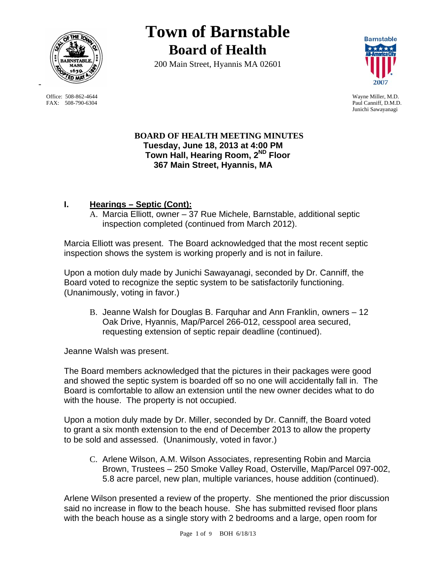

 Office: 508-862-4644 Wayne Miller, M.D. FAX: 508-790-6304 Paul Canniff, D.M.D.

# **Town of Barnstable Board of Health**

200 Main Street, Hyannis MA 02601



Junichi Sawayanagi

### **BOARD OF HEALTH MEETING MINUTES Tuesday, June 18, 2013 at 4:00 PM Town Hall, Hearing Room, 2ND Floor 367 Main Street, Hyannis, MA**

## **I. Hearings – Septic (Cont):**

A. Marcia Elliott, owner – 37 Rue Michele, Barnstable, additional septic inspection completed (continued from March 2012).

Marcia Elliott was present. The Board acknowledged that the most recent septic inspection shows the system is working properly and is not in failure.

Upon a motion duly made by Junichi Sawayanagi, seconded by Dr. Canniff, the Board voted to recognize the septic system to be satisfactorily functioning. (Unanimously, voting in favor.)

B. Jeanne Walsh for Douglas B. Farquhar and Ann Franklin, owners – 12 Oak Drive, Hyannis, Map/Parcel 266-012, cesspool area secured, requesting extension of septic repair deadline (continued).

Jeanne Walsh was present.

The Board members acknowledged that the pictures in their packages were good and showed the septic system is boarded off so no one will accidentally fall in. The Board is comfortable to allow an extension until the new owner decides what to do with the house. The property is not occupied.

Upon a motion duly made by Dr. Miller, seconded by Dr. Canniff, the Board voted to grant a six month extension to the end of December 2013 to allow the property to be sold and assessed. (Unanimously, voted in favor.)

C. Arlene Wilson, A.M. Wilson Associates, representing Robin and Marcia Brown, Trustees – 250 Smoke Valley Road, Osterville, Map/Parcel 097-002, 5.8 acre parcel, new plan, multiple variances, house addition (continued).

Arlene Wilson presented a review of the property. She mentioned the prior discussion said no increase in flow to the beach house. She has submitted revised floor plans with the beach house as a single story with 2 bedrooms and a large, open room for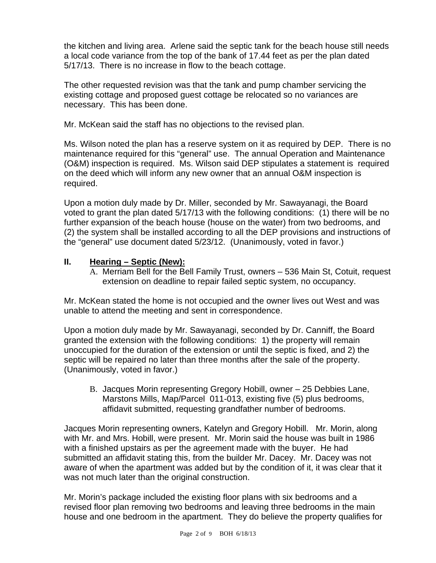the kitchen and living area. Arlene said the septic tank for the beach house still needs a local code variance from the top of the bank of 17.44 feet as per the plan dated 5/17/13. There is no increase in flow to the beach cottage.

The other requested revision was that the tank and pump chamber servicing the existing cottage and proposed guest cottage be relocated so no variances are necessary. This has been done.

Mr. McKean said the staff has no objections to the revised plan.

Ms. Wilson noted the plan has a reserve system on it as required by DEP. There is no maintenance required for this "general" use. The annual Operation and Maintenance (O&M) inspection is required. Ms. Wilson said DEP stipulates a statement is required on the deed which will inform any new owner that an annual O&M inspection is required.

Upon a motion duly made by Dr. Miller, seconded by Mr. Sawayanagi, the Board voted to grant the plan dated 5/17/13 with the following conditions: (1) there will be no further expansion of the beach house (house on the water) from two bedrooms, and (2) the system shall be installed according to all the DEP provisions and instructions of the "general" use document dated 5/23/12. (Unanimously, voted in favor.)

## **II. Hearing – Septic (New):**

A. Merriam Bell for the Bell Family Trust, owners – 536 Main St, Cotuit, request extension on deadline to repair failed septic system, no occupancy.

Mr. McKean stated the home is not occupied and the owner lives out West and was unable to attend the meeting and sent in correspondence.

Upon a motion duly made by Mr. Sawayanagi, seconded by Dr. Canniff, the Board granted the extension with the following conditions: 1) the property will remain unoccupied for the duration of the extension or until the septic is fixed, and 2) the septic will be repaired no later than three months after the sale of the property. (Unanimously, voted in favor.)

B. Jacques Morin representing Gregory Hobill, owner – 25 Debbies Lane, Marstons Mills, Map/Parcel 011-013, existing five (5) plus bedrooms, affidavit submitted, requesting grandfather number of bedrooms.

Jacques Morin representing owners, Katelyn and Gregory Hobill. Mr. Morin, along with Mr. and Mrs. Hobill, were present. Mr. Morin said the house was built in 1986 with a finished upstairs as per the agreement made with the buyer. He had submitted an affidavit stating this, from the builder Mr. Dacey. Mr. Dacey was not aware of when the apartment was added but by the condition of it, it was clear that it was not much later than the original construction.

Mr. Morin's package included the existing floor plans with six bedrooms and a revised floor plan removing two bedrooms and leaving three bedrooms in the main house and one bedroom in the apartment. They do believe the property qualifies for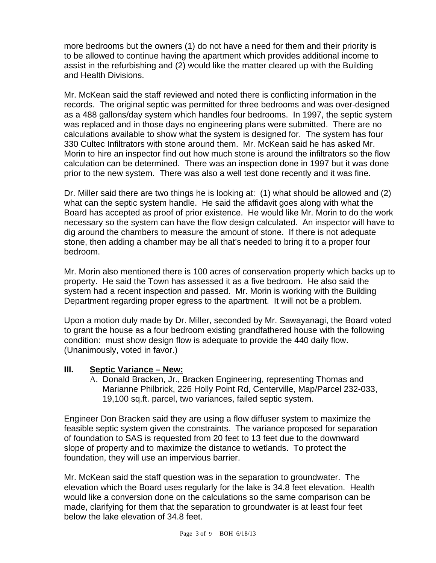more bedrooms but the owners (1) do not have a need for them and their priority is to be allowed to continue having the apartment which provides additional income to assist in the refurbishing and (2) would like the matter cleared up with the Building and Health Divisions.

Mr. McKean said the staff reviewed and noted there is conflicting information in the records. The original septic was permitted for three bedrooms and was over-designed as a 488 gallons/day system which handles four bedrooms. In 1997, the septic system was replaced and in those days no engineering plans were submitted. There are no calculations available to show what the system is designed for. The system has four 330 Cultec Infiltrators with stone around them. Mr. McKean said he has asked Mr. Morin to hire an inspector find out how much stone is around the infiltrators so the flow calculation can be determined. There was an inspection done in 1997 but it was done prior to the new system. There was also a well test done recently and it was fine.

Dr. Miller said there are two things he is looking at: (1) what should be allowed and (2) what can the septic system handle. He said the affidavit goes along with what the Board has accepted as proof of prior existence. He would like Mr. Morin to do the work necessary so the system can have the flow design calculated. An inspector will have to dig around the chambers to measure the amount of stone. If there is not adequate stone, then adding a chamber may be all that's needed to bring it to a proper four bedroom.

Mr. Morin also mentioned there is 100 acres of conservation property which backs up to property. He said the Town has assessed it as a five bedroom. He also said the system had a recent inspection and passed. Mr. Morin is working with the Building Department regarding proper egress to the apartment. It will not be a problem.

Upon a motion duly made by Dr. Miller, seconded by Mr. Sawayanagi, the Board voted to grant the house as a four bedroom existing grandfathered house with the following condition: must show design flow is adequate to provide the 440 daily flow. (Unanimously, voted in favor.)

#### **III. Septic Variance – New:**

A. Donald Bracken, Jr., Bracken Engineering, representing Thomas and Marianne Philbrick, 226 Holly Point Rd, Centerville, Map/Parcel 232-033, 19,100 sq.ft. parcel, two variances, failed septic system.

Engineer Don Bracken said they are using a flow diffuser system to maximize the feasible septic system given the constraints. The variance proposed for separation of foundation to SAS is requested from 20 feet to 13 feet due to the downward slope of property and to maximize the distance to wetlands. To protect the foundation, they will use an impervious barrier.

Mr. McKean said the staff question was in the separation to groundwater. The elevation which the Board uses regularly for the lake is 34.8 feet elevation. Health would like a conversion done on the calculations so the same comparison can be made, clarifying for them that the separation to groundwater is at least four feet below the lake elevation of 34.8 feet.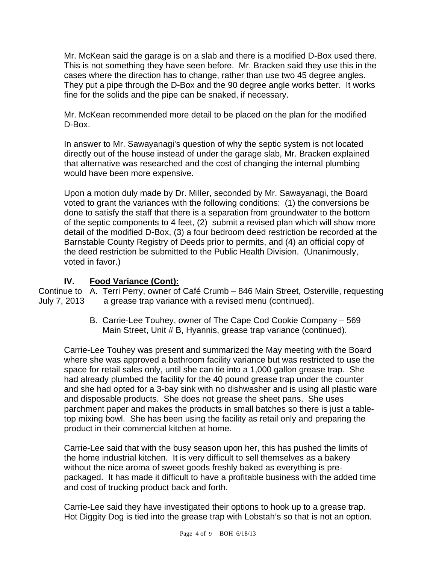Mr. McKean said the garage is on a slab and there is a modified D-Box used there. This is not something they have seen before. Mr. Bracken said they use this in the cases where the direction has to change, rather than use two 45 degree angles. They put a pipe through the D-Box and the 90 degree angle works better. It works fine for the solids and the pipe can be snaked, if necessary.

Mr. McKean recommended more detail to be placed on the plan for the modified D-Box.

In answer to Mr. Sawayanagi's question of why the septic system is not located directly out of the house instead of under the garage slab, Mr. Bracken explained that alternative was researched and the cost of changing the internal plumbing would have been more expensive.

Upon a motion duly made by Dr. Miller, seconded by Mr. Sawayanagi, the Board voted to grant the variances with the following conditions: (1) the conversions be done to satisfy the staff that there is a separation from groundwater to the bottom of the septic components to 4 feet, (2) submit a revised plan which will show more detail of the modified D-Box, (3) a four bedroom deed restriction be recorded at the Barnstable County Registry of Deeds prior to permits, and (4) an official copy of the deed restriction be submitted to the Public Health Division. (Unanimously, voted in favor.)

## **IV. Food Variance (Cont):**

Continue to A. Terri Perry, owner of Café Crumb – 846 Main Street, Osterville, requesting July 7, 2013 a grease trap variance with a revised menu (continued).

> B. Carrie-Lee Touhey, owner of The Cape Cod Cookie Company – 569 Main Street, Unit # B, Hyannis, grease trap variance (continued).

Carrie-Lee Touhey was present and summarized the May meeting with the Board where she was approved a bathroom facility variance but was restricted to use the space for retail sales only, until she can tie into a 1,000 gallon grease trap. She had already plumbed the facility for the 40 pound grease trap under the counter and she had opted for a 3-bay sink with no dishwasher and is using all plastic ware and disposable products. She does not grease the sheet pans. She uses parchment paper and makes the products in small batches so there is just a tabletop mixing bowl. She has been using the facility as retail only and preparing the product in their commercial kitchen at home.

Carrie-Lee said that with the busy season upon her, this has pushed the limits of the home industrial kitchen. It is very difficult to sell themselves as a bakery without the nice aroma of sweet goods freshly baked as everything is prepackaged. It has made it difficult to have a profitable business with the added time and cost of trucking product back and forth.

Carrie-Lee said they have investigated their options to hook up to a grease trap. Hot Diggity Dog is tied into the grease trap with Lobstah's so that is not an option.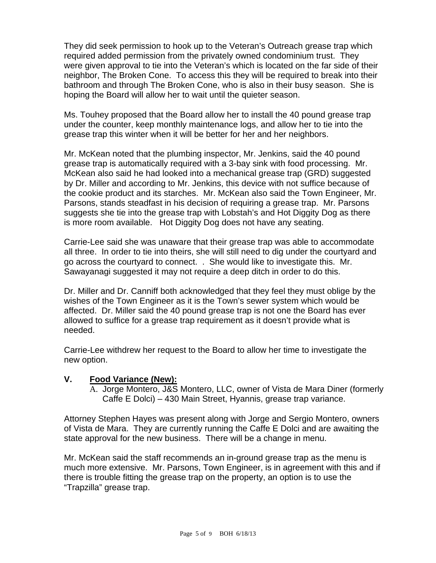They did seek permission to hook up to the Veteran's Outreach grease trap which required added permission from the privately owned condominium trust. They were given approval to tie into the Veteran's which is located on the far side of their neighbor, The Broken Cone. To access this they will be required to break into their bathroom and through The Broken Cone, who is also in their busy season. She is hoping the Board will allow her to wait until the quieter season.

Ms. Touhey proposed that the Board allow her to install the 40 pound grease trap under the counter, keep monthly maintenance logs, and allow her to tie into the grease trap this winter when it will be better for her and her neighbors.

Mr. McKean noted that the plumbing inspector, Mr. Jenkins, said the 40 pound grease trap is automatically required with a 3-bay sink with food processing. Mr. McKean also said he had looked into a mechanical grease trap (GRD) suggested by Dr. Miller and according to Mr. Jenkins, this device with not suffice because of the cookie product and its starches. Mr. McKean also said the Town Engineer, Mr. Parsons, stands steadfast in his decision of requiring a grease trap. Mr. Parsons suggests she tie into the grease trap with Lobstah's and Hot Diggity Dog as there is more room available. Hot Diggity Dog does not have any seating.

Carrie-Lee said she was unaware that their grease trap was able to accommodate all three. In order to tie into theirs, she will still need to dig under the courtyard and go across the courtyard to connect. . She would like to investigate this. Mr. Sawayanagi suggested it may not require a deep ditch in order to do this.

Dr. Miller and Dr. Canniff both acknowledged that they feel they must oblige by the wishes of the Town Engineer as it is the Town's sewer system which would be affected. Dr. Miller said the 40 pound grease trap is not one the Board has ever allowed to suffice for a grease trap requirement as it doesn't provide what is needed.

Carrie-Lee withdrew her request to the Board to allow her time to investigate the new option.

#### **V. Food Variance (New):**

A. Jorge Montero, J&S Montero, LLC, owner of Vista de Mara Diner (formerly Caffe E Dolci) – 430 Main Street, Hyannis, grease trap variance.

Attorney Stephen Hayes was present along with Jorge and Sergio Montero, owners of Vista de Mara. They are currently running the Caffe E Dolci and are awaiting the state approval for the new business. There will be a change in menu.

Mr. McKean said the staff recommends an in-ground grease trap as the menu is much more extensive. Mr. Parsons, Town Engineer, is in agreement with this and if there is trouble fitting the grease trap on the property, an option is to use the "Trapzilla" grease trap.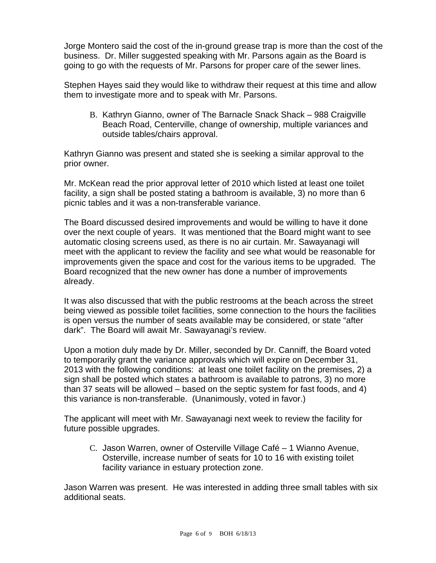Jorge Montero said the cost of the in-ground grease trap is more than the cost of the business. Dr. Miller suggested speaking with Mr. Parsons again as the Board is going to go with the requests of Mr. Parsons for proper care of the sewer lines.

Stephen Hayes said they would like to withdraw their request at this time and allow them to investigate more and to speak with Mr. Parsons.

B. Kathryn Gianno, owner of The Barnacle Snack Shack – 988 Craigville Beach Road, Centerville, change of ownership, multiple variances and outside tables/chairs approval.

Kathryn Gianno was present and stated she is seeking a similar approval to the prior owner.

Mr. McKean read the prior approval letter of 2010 which listed at least one toilet facility, a sign shall be posted stating a bathroom is available, 3) no more than 6 picnic tables and it was a non-transferable variance.

The Board discussed desired improvements and would be willing to have it done over the next couple of years. It was mentioned that the Board might want to see automatic closing screens used, as there is no air curtain. Mr. Sawayanagi will meet with the applicant to review the facility and see what would be reasonable for improvements given the space and cost for the various items to be upgraded. The Board recognized that the new owner has done a number of improvements already.

It was also discussed that with the public restrooms at the beach across the street being viewed as possible toilet facilities, some connection to the hours the facilities is open versus the number of seats available may be considered, or state "after dark". The Board will await Mr. Sawayanagi's review.

Upon a motion duly made by Dr. Miller, seconded by Dr. Canniff, the Board voted to temporarily grant the variance approvals which will expire on December 31, 2013 with the following conditions: at least one toilet facility on the premises, 2) a sign shall be posted which states a bathroom is available to patrons, 3) no more than 37 seats will be allowed – based on the septic system for fast foods, and 4) this variance is non-transferable. (Unanimously, voted in favor.)

The applicant will meet with Mr. Sawayanagi next week to review the facility for future possible upgrades.

C. Jason Warren, owner of Osterville Village Café – 1 Wianno Avenue, Osterville, increase number of seats for 10 to 16 with existing toilet facility variance in estuary protection zone.

Jason Warren was present. He was interested in adding three small tables with six additional seats.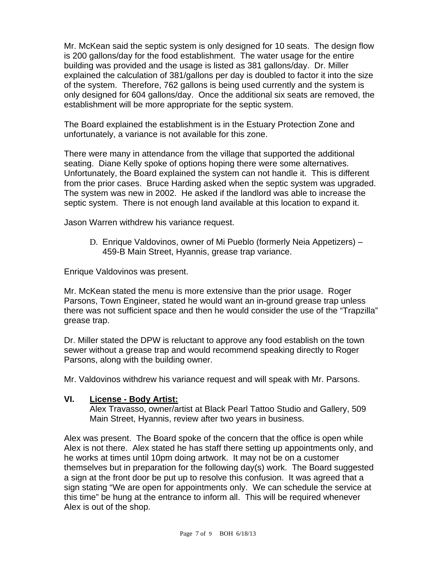Mr. McKean said the septic system is only designed for 10 seats. The design flow is 200 gallons/day for the food establishment. The water usage for the entire building was provided and the usage is listed as 381 gallons/day. Dr. Miller explained the calculation of 381/gallons per day is doubled to factor it into the size of the system. Therefore, 762 gallons is being used currently and the system is only designed for 604 gallons/day. Once the additional six seats are removed, the establishment will be more appropriate for the septic system.

The Board explained the establishment is in the Estuary Protection Zone and unfortunately, a variance is not available for this zone.

There were many in attendance from the village that supported the additional seating. Diane Kelly spoke of options hoping there were some alternatives. Unfortunately, the Board explained the system can not handle it. This is different from the prior cases. Bruce Harding asked when the septic system was upgraded. The system was new in 2002. He asked if the landlord was able to increase the septic system. There is not enough land available at this location to expand it.

Jason Warren withdrew his variance request.

D. Enrique Valdovinos, owner of Mi Pueblo (formerly Neia Appetizers) – 459-B Main Street, Hyannis, grease trap variance.

Enrique Valdovinos was present.

Mr. McKean stated the menu is more extensive than the prior usage. Roger Parsons, Town Engineer, stated he would want an in-ground grease trap unless there was not sufficient space and then he would consider the use of the "Trapzilla" grease trap.

Dr. Miller stated the DPW is reluctant to approve any food establish on the town sewer without a grease trap and would recommend speaking directly to Roger Parsons, along with the building owner.

Mr. Valdovinos withdrew his variance request and will speak with Mr. Parsons.

#### **VI. License - Body Artist:**

Alex Travasso, owner/artist at Black Pearl Tattoo Studio and Gallery, 509 Main Street, Hyannis, review after two years in business.

Alex was present. The Board spoke of the concern that the office is open while Alex is not there. Alex stated he has staff there setting up appointments only, and he works at times until 10pm doing artwork. It may not be on a customer themselves but in preparation for the following day(s) work. The Board suggested a sign at the front door be put up to resolve this confusion. It was agreed that a sign stating "We are open for appointments only. We can schedule the service at this time" be hung at the entrance to inform all. This will be required whenever Alex is out of the shop.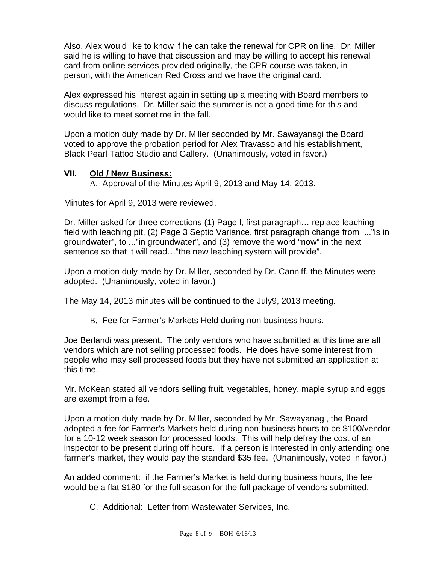Also, Alex would like to know if he can take the renewal for CPR on line. Dr. Miller said he is willing to have that discussion and may be willing to accept his renewal card from online services provided originally, the CPR course was taken, in person, with the American Red Cross and we have the original card.

Alex expressed his interest again in setting up a meeting with Board members to discuss regulations. Dr. Miller said the summer is not a good time for this and would like to meet sometime in the fall.

Upon a motion duly made by Dr. Miller seconded by Mr. Sawayanagi the Board voted to approve the probation period for Alex Travasso and his establishment, Black Pearl Tattoo Studio and Gallery. (Unanimously, voted in favor.)

#### **VII. Old / New Business:**

A. Approval of the Minutes April 9, 2013 and May 14, 2013.

Minutes for April 9, 2013 were reviewed.

Dr. Miller asked for three corrections (1) Page l, first paragraph… replace leaching field with leaching pit, (2) Page 3 Septic Variance, first paragraph change from ..."is in groundwater", to ..."in groundwater", and (3) remove the word "now" in the next sentence so that it will read…"the new leaching system will provide".

Upon a motion duly made by Dr. Miller, seconded by Dr. Canniff, the Minutes were adopted. (Unanimously, voted in favor.)

The May 14, 2013 minutes will be continued to the July9, 2013 meeting.

B. Fee for Farmer's Markets Held during non-business hours.

Joe Berlandi was present. The only vendors who have submitted at this time are all vendors which are not selling processed foods. He does have some interest from people who may sell processed foods but they have not submitted an application at this time.

Mr. McKean stated all vendors selling fruit, vegetables, honey, maple syrup and eggs are exempt from a fee.

Upon a motion duly made by Dr. Miller, seconded by Mr. Sawayanagi, the Board adopted a fee for Farmer's Markets held during non-business hours to be \$100/vendor for a 10-12 week season for processed foods. This will help defray the cost of an inspector to be present during off hours. If a person is interested in only attending one farmer's market, they would pay the standard \$35 fee. (Unanimously, voted in favor.)

An added comment: if the Farmer's Market is held during business hours, the fee would be a flat \$180 for the full season for the full package of vendors submitted.

C. Additional: Letter from Wastewater Services, Inc.